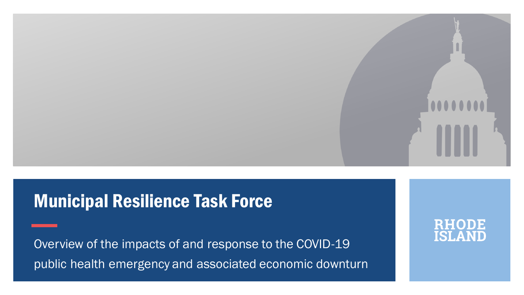

## **Municipal Resilience Task Force**

Overview of the impacts of and response to the COVID-19 public health emergency and associated economic downturn

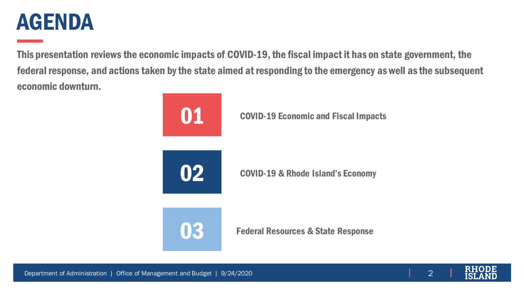## AGENDA

This presentation reviews the economic impacts of COVID-19, the fiscal impact it has on state government, the federal response, and actions taken by the state aimed at responding to the emergency as well as the subsequent economic downturn.



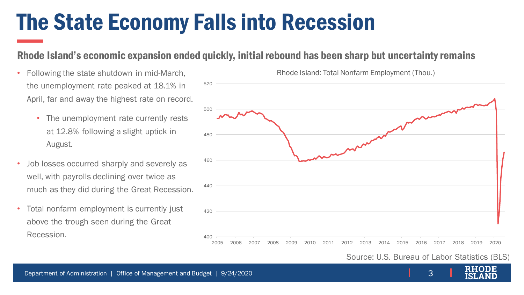## The State Economy Falls into Recession

520

### Rhode Island's economic expansion ended quickly, initial rebound has been sharp but uncertainty remains

- Following the state shutdown in mid-March, the unemployment rate peaked at 18.1% in April, far and away the highest rate on record.
	- The unemployment rate currently rests at 12.8% following a slight uptick in August.
- Job losses occurred sharply and severely as well, with payrolls declining over twice as much as they did during the Great Recession.
- Total nonfarm employment is currently just above the trough seen during the Great Recession.

400 420 440 460 480 500 2005 2006 2007 2008 2009 2010 2011 2012 2013 2014 2015 2016 2017 2018 2019 2020

Rhode Island: Total Nonfarm Employment (Thou.)

Source: U.S. Bureau of Labor Statistics (BLS)

3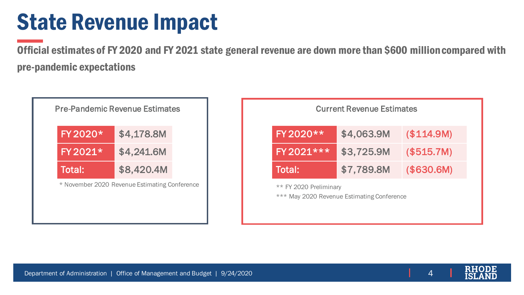## State Revenue Impact

Official estimates of FY 2020 and FY 2021 state general revenue are down more than \$600 million compared with pre-pandemic expectations

| FY 2020* | \$4,178.8M |
|----------|------------|
| FY 2021* | \$4,241.6M |
| Total:   | \$8,420.4M |

| <b>Pre-Pandemic Revenue Estimates</b>         |                        | <b>Current Revenue Estimates</b>           |             |
|-----------------------------------------------|------------------------|--------------------------------------------|-------------|
| \$4,178.8M                                    | FY 2020**              | \$4,063.9M                                 | (\$114.9M)  |
| \$4,241.6M                                    | FY 2021 ***            | \$3,725.9M                                 | ( \$515.7M) |
|                                               | Total:                 | \$7,789.8M                                 | (\$30.6M)   |
| * November 2020 Revenue Estimating Conference | ** FY 2020 Preliminary | *** May 2020 Revenue Estimating Conference |             |

4

Department of Administration | Office of Management and Budget | 9/24/2020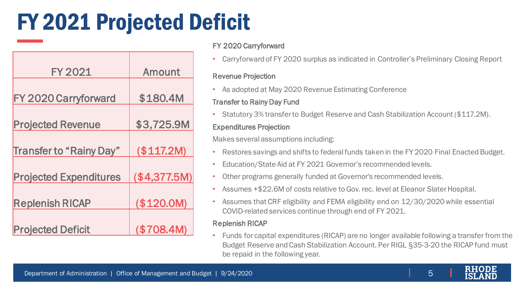# FY 2021 Projected Deficit

| <b>FY 2021</b>                 | <b>Amount</b> |
|--------------------------------|---------------|
|                                |               |
| FY 2020 Carryforward           | \$180.4M      |
|                                |               |
| <b>Projected Revenue</b>       | \$3,725.9M    |
|                                |               |
| <b>Transfer to "Rainy Day"</b> | (\$117.2M)    |
| <b>Projected Expenditures</b>  | (\$4,377.5M)  |
| <b>Replenish RICAP</b>         | (\$120.0M)    |
| <b>Projected Deficit</b>       | (\$708.4M)    |

### FY 2020 Carryforward

• Carryforward of FY 2020 surplus as indicated in Controller's Preliminary Closing Report

#### Revenue Projection

• As adopted at May 2020 Revenue Estimating Conference

### Transfer to Rainy Day Fund

• Statutory 3% transfer to Budget Reserve and Cash Stabilization Account (\$117.2M).

### Expenditures Projection

Makes several assumptions including:

- Restores savings and shifts to federal funds taken in the FY 2020 Final Enacted Budget.
- Education/State Aid at FY 2021 Governor's recommended levels.
- Other programs generally funded at Governor's recommended levels.
- Assumes +\$22.6M of costs relative to Gov. rec. level at Eleanor Slater Hospital.
- Assumes that CRF eligibility and FEMA eligibility end on 12/30/2020 while essential COVID-related services continue through end of FY 2021.

#### Replenish RICAP

• Funds for capital expenditures (RICAP) are no longer available following a transfer from the Budget Reserve and Cash Stabilization Account. Per RIGL §35-3-20 the RICAP fund must be repaid in the following year.

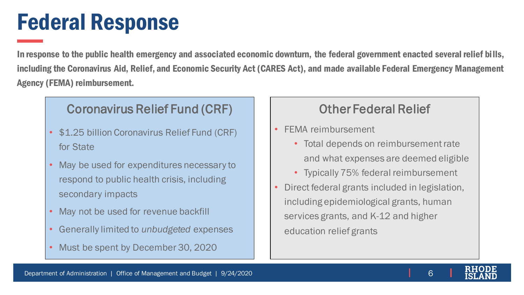## Federal Response

In response to the public health emergency and associated economic downturn, the federal government enacted several relief bills, including the Coronavirus Aid, Relief, and Economic Security Act (CARES Act), and made available Federal Emergency Management Agency (FEMA) reimbursement.

## Coronavirus Relief Fund (CRF)

- \$1.25 billion Coronavirus Relief Fund (CRF) for State
- May be used for expenditures necessary to respond to public health crisis, including secondary impacts
- May not be used for revenue backfill
- Generally limited to *unbudgeted* expenses
- Must be spent by December 30, 2020

## Other Federal Relief

- FEMA reimbursement
	- Total depends on reimbursement rate and what expenses are deemed eligible
	- Typically 75% federal reimbursement
- Direct federal grants included in legislation, including epidemiological grants, human services grants, and K-12 and higher education relief grants

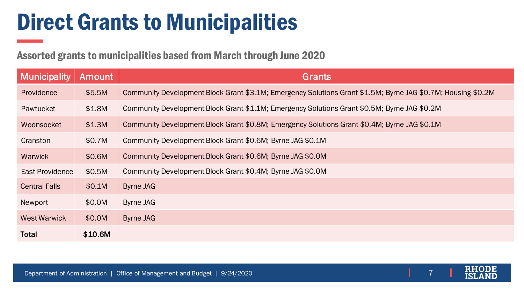# Direct Grants to Municipalities

Assorted grants to municipalities based from March through June 2020

| <b>Municipality</b>  | <b>Amount</b> | Grants                                                                                                       |
|----------------------|---------------|--------------------------------------------------------------------------------------------------------------|
| Providence           | \$5.5M        | Community Development Block Grant \$3.1M; Emergency Solutions Grant \$1.5M; Byrne JAG \$0.7M; Housing \$0.2M |
| Pawtucket            | \$1.8M        | Community Development Block Grant \$1.1M; Emergency Solutions Grant \$0.5M; Byrne JAG \$0.2M                 |
| Woonsocket           | \$1.3M        | Community Development Block Grant \$0.8M; Emergency Solutions Grant \$0.4M; Byrne JAG \$0.1M                 |
| Cranston             | \$0.7M        | Community Development Block Grant \$0.6M; Byrne JAG \$0.1M                                                   |
| <b>Warwick</b>       | \$0.6M        | Community Development Block Grant \$0.6M; Byrne JAG \$0.0M                                                   |
| East Providence      | \$0.5M        | Community Development Block Grant \$0.4M; Byrne JAG \$0.0M                                                   |
| <b>Central Falls</b> | \$0.1M        | Byrne JAG                                                                                                    |
| Newport              | \$0.0M        | Byrne JAG                                                                                                    |
| <b>West Warwick</b>  | \$0.0M        | Byrne JAG                                                                                                    |
| <b>Total</b>         | \$10.6M       |                                                                                                              |

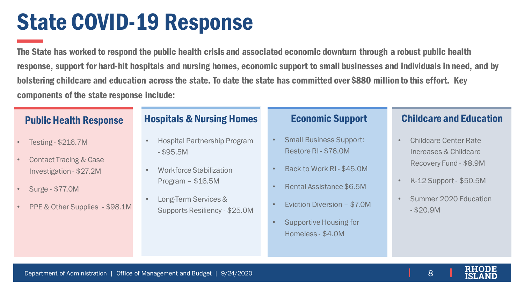## State COVID-19 Response

The State has worked to respond the public health crisis and associated economic downturn through a robust public health response, support for hard-hit hospitals and nursing homes, economic support to small businesses and individuals in need, and by bolstering childcare and education across the state. To date the state has committed over \$880 million to this effort. Key components of the state response include:

### Public Health Response

- Testing \$216.7M
- Contact Tracing & Case Investigation - \$27.2M
- Surge \$77.0M
- PPE & Other Supplies \$98.1M

### **Hospitals & Nursing Homes Economic Support**

- Hospital Partnership Program - \$95.5M
- Workforce Stabilization Program – \$16.5M
- Long-Term Services & Supports Resiliency - \$25.0M

- Small Business Support: Restore RI - \$76.0M
- Back to Work RI \$45.0M
- Rental Assistance \$6.5M
- Eviction Diversion \$7.0M
- Supportive Housing for Homeless - \$4.0M

### Childcare and Education

- Childcare Center Rate Increases & Childcare Recovery Fund - \$8.9M
- K-12 Support \$50.5M
- Summer 2020 Education - \$20.9M

Department of Administration | Office of Management and Budget | 9/24/2020